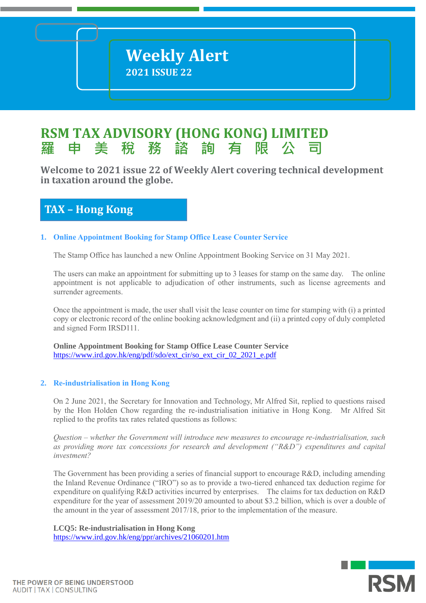# **RSM TAX ADVISORY (HONG KONG) LIMITED 羅 申 美 稅 務 諮 詢 有 限 公 司**

**Welcome to 2021 issue 22 of Weekly Alert covering technical development**   $i$ **n** taxation around the globe.

# **TAX – Hong Kong**

# **1. Online Appointment Booking for Stamp Office Lease Counter Service**

The Stamp Office has launched a new Online Appointment Booking Service on 31 May 2021.

The users can make an appointment for submitting up to 3 leases for stamp on the same day. The online appointment is not applicable to adjudication of other instruments, such as license agreements and surrender agreements.

Once the appointment is made, the user shall visit the lease counter on time for stamping with (i) a printed copy or electronic record of the online booking acknowledgment and (ii) a printed copy of duly completed and signed Form IRSD111.

**Online Appointment Booking for Stamp Office Lease Counter Service**  [https://www.ird.gov.hk/eng/pdf/sdo/ext\\_cir/so\\_ext\\_cir\\_02\\_2021\\_e.pdf](https://www.ird.gov.hk/eng/pdf/sdo/ext_cir/so_ext_cir_02_2021_e.pdf)

# **2. Re-industrialisation in Hong Kong**

On 2 June 2021, the Secretary for Innovation and Technology, Mr Alfred Sit, replied to questions raised by the Hon Holden Chow regarding the re-industrialisation initiative in Hong Kong. Mr Alfred Sit replied to the profits tax rates related questions as follows:

*Question – whether the Government will introduce new measures to encourage re-industrialisation, such as providing more tax concessions for research and development ("R&D") expenditures and capital investment?*

The Government has been providing a series of financial support to encourage R&D, including amending the Inland Revenue Ordinance ("IRO") so as to provide a two-tiered enhanced tax deduction regime for expenditure on qualifying R&D activities incurred by enterprises. The claims for tax deduction on R&D expenditure for the year of assessment 2019/20 amounted to about \$3.2 billion, which is over a double of the amount in the year of assessment 2017/18, prior to the implementation of the measure.

**LCQ5: Re-industrialisation in Hong Kong** <https://www.ird.gov.hk/eng/ppr/archives/21060201.htm>

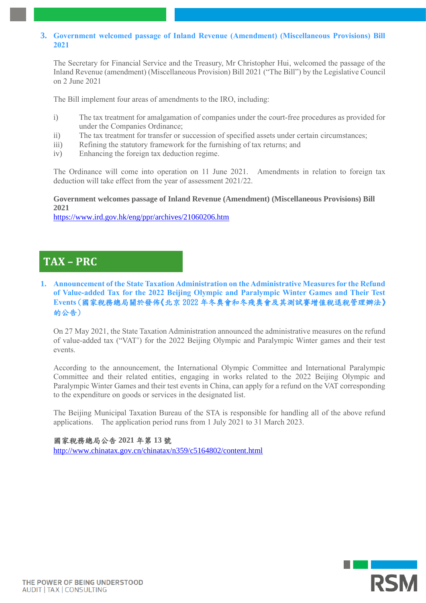## **3. Government welcomed passage of Inland Revenue (Amendment) (Miscellaneous Provisions) Bill 2021**

The Secretary for Financial Service and the Treasury, Mr Christopher Hui, welcomed the passage of the Inland Revenue (amendment) (Miscellaneous Provision) Bill 2021 ("The Bill") by the Legislative Council on 2 June 2021

The Bill implement four areas of amendments to the IRO, including:

- i) The tax treatment for amalgamation of companies under the court-free procedures as provided for under the Companies Ordinance;
- ii) The tax treatment for transfer or succession of specified assets under certain circumstances;
- iii) Refining the statutory framework for the furnishing of tax returns; and
- iv) Enhancing the foreign tax deduction regime.

The Ordinance will come into operation on 11 June 2021. Amendments in relation to foreign tax deduction will take effect from the year of assessment 2021/22.

### **Government welcomes passage of Inland Revenue (Amendment) (Miscellaneous Provisions) Bill 2021**

<https://www.ird.gov.hk/eng/ppr/archives/21060206.htm>

# **TAX – PRC**

**1. Announcement of the State Taxation Administration on the Administrative Measures for the Refund of Value-added Tax for the 2022 Beijing Olympic and Paralympic Winter Games and Their Test Events** (國家稅務總局關於發佈《北京 2022 年冬奧會和冬殘奧會及其測試賽增值稅退稅管理辦法》 的公告)

On 27 May 2021, the State Taxation Administration announced the administrative measures on the refund of value-added tax ("VAT') for the 2022 Beijing Olympic and Paralympic Winter games and their test events.

According to the announcement, the International Olympic Committee and International Paralympic Committee and their related entities, engaging in works related to the 2022 Beijing Olympic and Paralympic Winter Games and their test events in China, can apply for a refund on the VAT corresponding to the expenditure on goods or services in the designated list.

The Beijing Municipal Taxation Bureau of the STA is responsible for handling all of the above refund applications. The application period runs from 1 July 2021 to 31 March 2023.

國家稅務總局公告 **2021** 年第 **13** 號 <http://www.chinatax.gov.cn/chinatax/n359/c5164802/content.html>

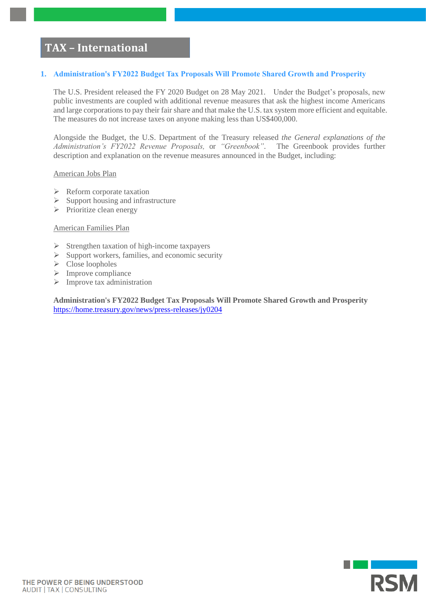# **TAX – International**

### **1. Administration's FY2022 Budget Tax Proposals Will Promote Shared Growth and Prosperity**

The U.S. President released the FY 2020 Budget on 28 May 2021. Under the Budget's proposals, new public investments are coupled with additional revenue measures that ask the highest income Americans and large corporations to pay their fair share and that make the U.S. tax system more efficient and equitable. The measures do not increase taxes on anyone making less than US\$400,000.

Alongside the Budget, the U.S. Department of the Treasury released *the General explanations of the Administration's FY2022 Revenue Proposals,* or *"Greenbook"*. The Greenbook provides further description and explanation on the revenue measures announced in the Budget, including:

#### American Jobs Plan

- ➢ Reform corporate taxation
- $\triangleright$  Support housing and infrastructure
- ➢ Prioritize clean energy

#### American Families Plan

- ➢ Strengthen taxation of high-income taxpayers
- $\triangleright$  Support workers, families, and economic security
- ➢ Close loopholes
- ➢ Improve compliance
- ➢ Improve tax administration

**Administration's FY2022 Budget Tax Proposals Will Promote Shared Growth and Prosperity** <https://home.treasury.gov/news/press-releases/jy0204>